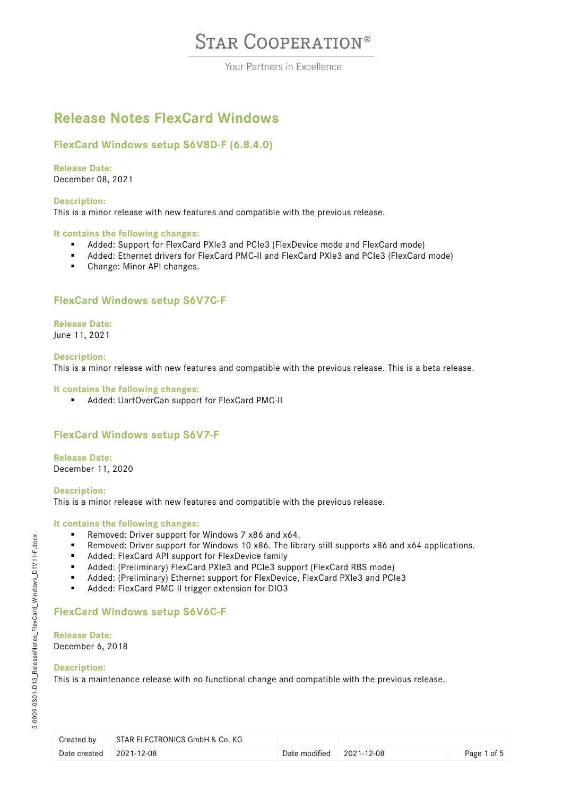Your Partners in Excellence

## **Release Notes FlexCard Windows**

## **FlexCard Windows setup S6V8D-F (6.8.4.0)**

**Release Date:** December 08, 2021

### **Description:**

This is a minor release with new features and compatible with the previous release.

### **It contains the following changes:**

- Added: Support for FlexCard PXIe3 and PCIe3 (FlexDevice mode and FlexCard mode)
- Added: Ethernet drivers for FlexCard PMC-II and FlexCard PXIe3 and PCIe3 (FlexCard mode)
- Change: Minor API changes.

## **FlexCard Windows setup S6V7C-F**

**Release Date:** June 11, 2021

### **Description:**

This is a minor release with new features and compatible with the previous release. This is a beta release.

### **It contains the following changes:**

■ Added: UartOverCan support for FlexCard PMC-II

## **FlexCard Windows setup S6V7-F**

**Release Date:** December 11, 2020

**Description:** This is a minor release with new features and compatible with the previous release.

### **It contains the following changes:**

- Removed: Driver support for Windows 7 x86 and x64.
- Removed: Driver support for Windows 10 x86. The library still supports x86 and x64 applications.
- Added: FlexCard API support for FlexDevice family<br>Added: (Preliminary) FlexCard PXIe3 and PCIe3 sur
- Added: (Preliminary) FlexCard PXIe3 and PCIe3 support (FlexCard RBS mode)
- Added: (Preliminary) Ethernet support for FlexDevice, FlexCard PXIe3 and PCIe3
- Added: FlexCard PMC-II trigger extension for DIO3

### **FlexCard Windows setup S6V6C-F**

**Release Date:** December 6, 2018

### **Description:**

This is a maintenance release with no functional change and compatible with the previous release.

| Created by              | STAR ELECTRONICS GmbH & Co. KG |                                   |             |
|-------------------------|--------------------------------|-----------------------------------|-------------|
| Date created 2021-12-08 |                                | Date modified $\qquad$ 2021-12-08 | Page 1 of 5 |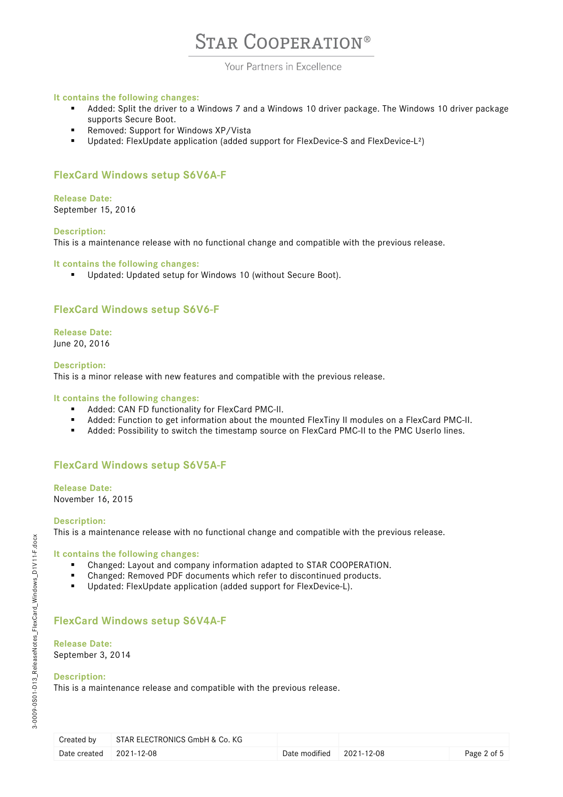Your Partners in Excellence

### **It contains the following changes:**

- Added: Split the driver to a Windows 7 and a Windows 10 driver package. The Windows 10 driver package supports Secure Boot.
- Removed: Support for Windows XP/Vista
- Updated: FlexUpdate application (added support for FlexDevice-S and FlexDevice-L²)

## **FlexCard Windows setup S6V6A-F**

### **Release Date:**

September 15, 2016

### **Description:**

This is a maintenance release with no functional change and compatible with the previous release.

### **It contains the following changes:**

Updated: Updated setup for Windows 10 (without Secure Boot).

## **FlexCard Windows setup S6V6-F**

### **Release Date:** June 20, 2016

### **Description:**

This is a minor release with new features and compatible with the previous release.

**It contains the following changes:**

- **Added: CAN FD functionality for FlexCard PMC-II.**
- Added: Function to get information about the mounted FlexTiny II modules on a FlexCard PMC-II.
- Added: Possibility to switch the timestamp source on FlexCard PMC-II to the PMC UserIo lines.

### **FlexCard Windows setup S6V5A-F**

**Release Date:** November 16, 2015

### **Description:**

This is a maintenance release with no functional change and compatible with the previous release.

### **It contains the following changes:**

- Changed: Layout and company information adapted to STAR COOPERATION.
- Changed: Removed PDF documents which refer to discontinued products.
- Updated: FlexUpdate application (added support for FlexDevice-L).

## **FlexCard Windows setup S6V4A-F**

### **Release Date:**

September 3, 2014

### **Description:**

This is a maintenance release and compatible with the previous release.

| Created by   | STAR ELECTRONICS GmbH & Co. KG |                                  |             |
|--------------|--------------------------------|----------------------------------|-------------|
| Date created | 2021-12-08                     | Date modified $\vert$ 2021-12-08 | Page 2 of 5 |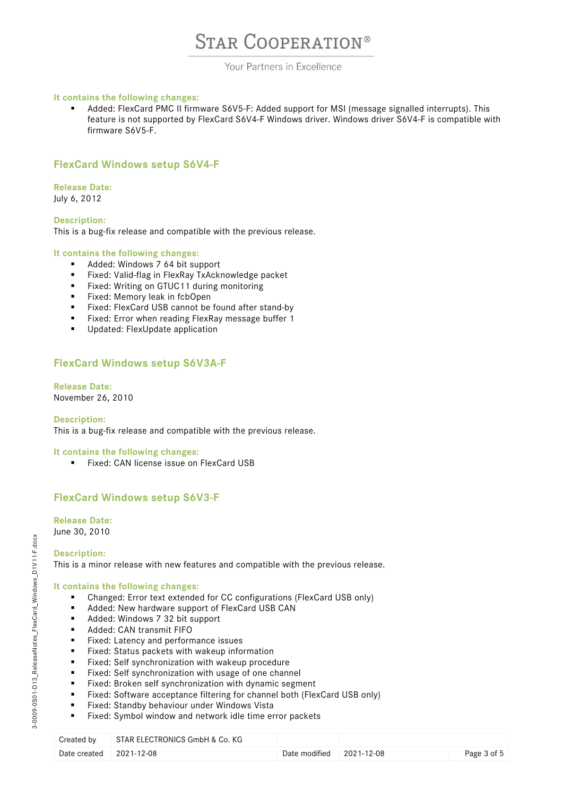### Your Partners in Excellence

### **It contains the following changes:**

 Added: FlexCard PMC II firmware S6V5-F: Added support for MSI (message signalled interrupts). This feature is not supported by FlexCard S6V4-F Windows driver. Windows driver S6V4-F is compatible with firmware S6V5-F.

### **FlexCard Windows setup S6V4-F**

### **Release Date:** July 6, 2012

**Description:** This is a bug-fix release and compatible with the previous release.

### **It contains the following changes:**

- Added: Windows 7 64 bit support<br>Fixed: Valid-flag in FlexRay TxAckr
- Fixed: Valid-flag in FlexRay TxAcknowledge packet
- Fixed: Writing on GTUC11 during monitoring<br>■ Fixed: Memory leak in fcbOpen
- Fixed: Memory leak in fcbOpen<br>Fixed: FlexCard USB cannot be
- **Fixed: FlexCard USB cannot be found after stand-by**<br>**Fixed: Frror when reading FlexRay message buffer 1**
- Fixed: Error when reading FlexRay message buffer 1
- **Updated: FlexUpdate application**

## **FlexCard Windows setup S6V3A-F**

### **Release Date:** November 26, 2010

**Description:** This is a bug-fix release and compatible with the previous release.

### **It contains the following changes:**

Fixed: CAN license issue on FlexCard USB

## **FlexCard Windows setup S6V3-F**

## **Release Date:**

June 30, 2010

### **Description:**

This is a minor release with new features and compatible with the previous release.

### **It contains the following changes:**

- Changed: Error text extended for CC configurations (FlexCard USB only)
- Added: New hardware support of FlexCard USB CAN
- Added: Windows 7 32 bit support
- **Added: CAN transmit FIFO**
- **Fixed:** Latency and performance issues
- Fixed: Status packets with wakeup information<br>■ Fixed: Self synchronization with wakeup proced
- Fixed: Self synchronization with wakeup procedure
- Fixed: Self synchronization with usage of one channel
- Fixed: Broken self synchronization with dynamic segment
- Fixed: Software acceptance filtering for channel both (FlexCard USB only)
- **Fixed: Standby behaviour under Windows Vista**
- Fixed: Symbol window and network idle time error packets

| Created by                | $^\shortparallel$ STAR ELECTRONICS GmbH & Co. KG |                                  |             |
|---------------------------|--------------------------------------------------|----------------------------------|-------------|
| Date created $2021-12-08$ |                                                  | Date modified $\vert$ 2021-12-08 | Page 3 of 5 |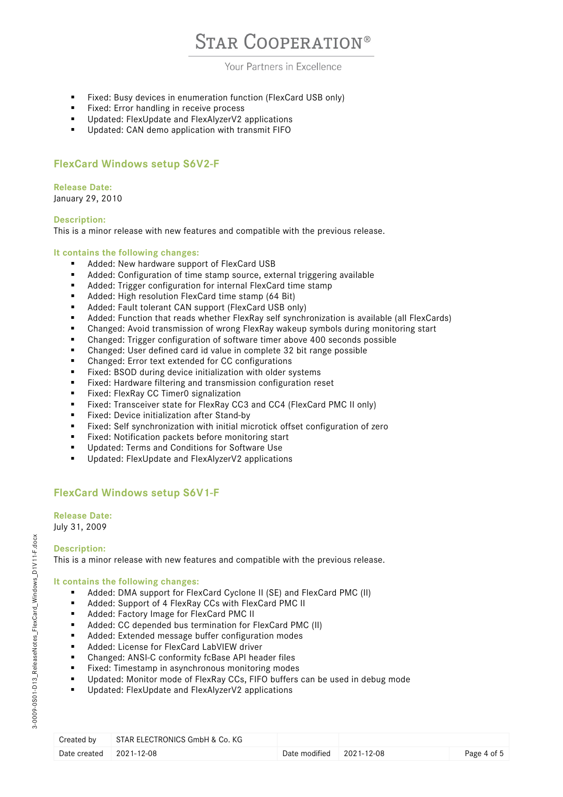### Your Partners in Excellence

- Fixed: Busy devices in enumeration function (FlexCard USB only)
- **Fixed:** Error handling in receive process
- **Updated: FlexUpdate and FlexAlyzerV2 applications**
- **Updated: CAN demo application with transmit FIFO**

## **FlexCard Windows setup S6V2-F**

### **Release Date:** January 29, 2010

### **Description:**

This is a minor release with new features and compatible with the previous release.

### **It contains the following changes:**

- Added: New hardware support of FlexCard USB
- Added: Configuration of time stamp source, external triggering available
- Added: Trigger configuration for internal FlexCard time stamp
- Added: High resolution FlexCard time stamp (64 Bit)
- Added: Fault tolerant CAN support (FlexCard USB only)
- Added: Function that reads whether FlexRay self synchronization is available (all FlexCards)
- Changed: Avoid transmission of wrong FlexRay wakeup symbols during monitoring start
- Changed: Trigger configuration of software timer above 400 seconds possible
- Changed: User defined card id value in complete 32 bit range possible
- Changed: Error text extended for CC configurations
- **Fixed: BSOD during device initialization with older systems**
- **Fixed: Hardware filtering and transmission configuration reset**
- **Fixed: FlexRay CC Timer0 signalization**
- Fixed: Transceiver state for FlexRay CC3 and CC4 (FlexCard PMC II only)
- **Fixed:** Device initialization after Stand-by
- Fixed: Self synchronization with initial microtick offset configuration of zero
- Fixed: Notification packets before monitoring start
- **Updated: Terms and Conditions for Software Use**
- **Updated: FlexUpdate and FlexAlyzerV2 applications**

## **FlexCard Windows setup S6V1-F**

## **Release Date:**

July 31, 2009

### **Description:**

This is a minor release with new features and compatible with the previous release.

### **It contains the following changes:**

- Added: DMA support for FlexCard Cyclone II (SE) and FlexCard PMC (II)
- Added: Support of 4 FlexRay CCs with FlexCard PMC II
- **Added: Factory Image for FlexCard PMC II**
- Added: CC depended bus termination for FlexCard PMC (II)
- Added: Extended message buffer configuration modes
- **Added: License for FlexCard LabVIEW driver**
- Changed: ANSI-C conformity fcBase API header files
- **Fixed:** Timestamp in asynchronous monitoring modes
- Updated: Monitor mode of FlexRay CCs, FIFO buffers can be used in debug mode
- **Updated: FlexUpdate and FlexAlyzerV2 applications**

| Created by   | STAR ELECTRONICS GmbH & Co. KG |                                  |             |
|--------------|--------------------------------|----------------------------------|-------------|
| Date created | $2021 - 12 - 08$               | Date modified $\vert$ 2021-12-08 | Page 4 of 5 |